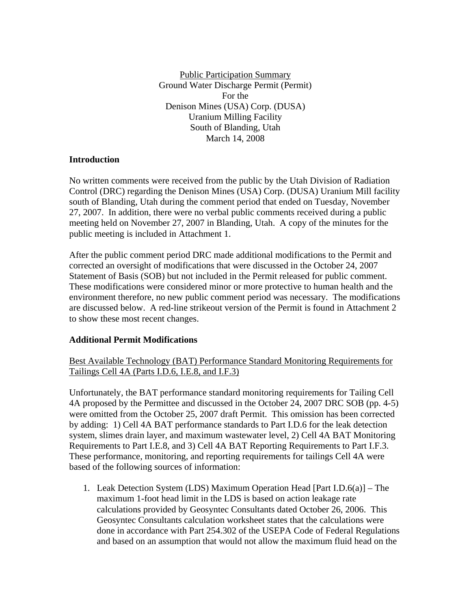Public Participation Summary Ground Water Discharge Permit (Permit) For the Denison Mines (USA) Corp. (DUSA) Uranium Milling Facility South of Blanding, Utah March 14, 2008

#### **Introduction**

No written comments were received from the public by the Utah Division of Radiation Control (DRC) regarding the Denison Mines (USA) Corp. (DUSA) Uranium Mill facility south of Blanding, Utah during the comment period that ended on Tuesday, November 27, 2007. In addition, there were no verbal public comments received during a public meeting held on November 27, 2007 in Blanding, Utah. A copy of the minutes for the public meeting is included in Attachment 1.

After the public comment period DRC made additional modifications to the Permit and corrected an oversight of modifications that were discussed in the October 24, 2007 Statement of Basis (SOB) but not included in the Permit released for public comment. These modifications were considered minor or more protective to human health and the environment therefore, no new public comment period was necessary. The modifications are discussed below. A red-line strikeout version of the Permit is found in Attachment 2 to show these most recent changes.

#### **Additional Permit Modifications**

### Best Available Technology (BAT) Performance Standard Monitoring Requirements for Tailings Cell 4A (Parts I.D.6, I.E.8, and I.F.3)

Unfortunately, the BAT performance standard monitoring requirements for Tailing Cell 4A proposed by the Permittee and discussed in the October 24, 2007 DRC SOB (pp. 4-5) were omitted from the October 25, 2007 draft Permit. This omission has been corrected by adding: 1) Cell 4A BAT performance standards to Part I.D.6 for the leak detection system, slimes drain layer, and maximum wastewater level, 2) Cell 4A BAT Monitoring Requirements to Part I.E.8, and 3) Cell 4A BAT Reporting Requirements to Part I.F.3. These performance, monitoring, and reporting requirements for tailings Cell 4A were based of the following sources of information:

 1. Leak Detection System (LDS) Maximum Operation Head [Part I.D.6(a)] – The maximum 1-foot head limit in the LDS is based on action leakage rate calculations provided by Geosyntec Consultants dated October 26, 2006. This Geosyntec Consultants calculation worksheet states that the calculations were done in accordance with Part 254.302 of the USEPA Code of Federal Regulations and based on an assumption that would not allow the maximum fluid head on the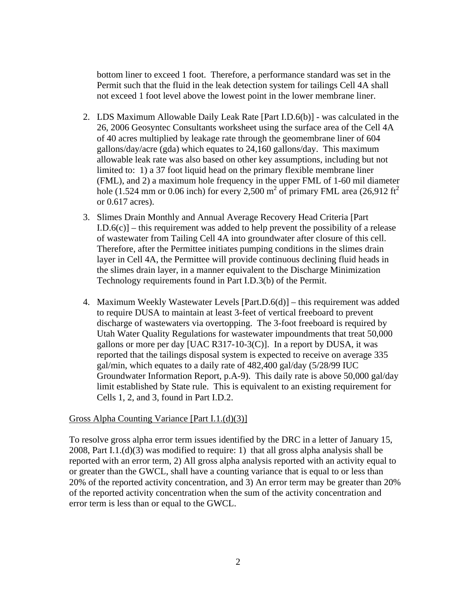bottom liner to exceed 1 foot. Therefore, a performance standard was set in the Permit such that the fluid in the leak detection system for tailings Cell 4A shall not exceed 1 foot level above the lowest point in the lower membrane liner.

- 2. LDS Maximum Allowable Daily Leak Rate [Part I.D.6(b)] was calculated in the 26, 2006 Geosyntec Consultants worksheet using the surface area of the Cell 4A of 40 acres multiplied by leakage rate through the geomembrane liner of 604 gallons/day/acre (gda) which equates to 24,160 gallons/day. This maximum allowable leak rate was also based on other key assumptions, including but not limited to: 1) a 37 foot liquid head on the primary flexible membrane liner (FML), and 2) a maximum hole frequency in the upper FML of 1-60 mil diameter hole (1.524 mm or 0.06 inch) for every 2,500 m<sup>2</sup> of primary FML area (26,912 ft<sup>2</sup>) or 0.617 acres).
- 3. Slimes Drain Monthly and Annual Average Recovery Head Criteria [Part  $I.D.6(c)$  – this requirement was added to help prevent the possibility of a release of wastewater from Tailing Cell 4A into groundwater after closure of this cell. Therefore, after the Permittee initiates pumping conditions in the slimes drain layer in Cell 4A, the Permittee will provide continuous declining fluid heads in the slimes drain layer, in a manner equivalent to the Discharge Minimization Technology requirements found in Part I.D.3(b) of the Permit.
- 4. Maximum Weekly Wastewater Levels  $[Part.D.6(d)]$  this requirement was added to require DUSA to maintain at least 3-feet of vertical freeboard to prevent discharge of wastewaters via overtopping. The 3-foot freeboard is required by Utah Water Quality Regulations for wastewater impoundments that treat 50,000 gallons or more per day [UAC R317-10-3(C)]. In a report by DUSA, it was reported that the tailings disposal system is expected to receive on average 335 gal/min, which equates to a daily rate of 482,400 gal/day (5/28/99 IUC Groundwater Information Report, p.A-9). This daily rate is above 50,000 gal/day limit established by State rule. This is equivalent to an existing requirement for Cells 1, 2, and 3, found in Part I.D.2.

#### Gross Alpha Counting Variance [Part I.1.(d)(3)]

To resolve gross alpha error term issues identified by the DRC in a letter of January 15, 2008, Part I.1.(d)(3) was modified to require: 1) that all gross alpha analysis shall be reported with an error term, 2) All gross alpha analysis reported with an activity equal to or greater than the GWCL, shall have a counting variance that is equal to or less than 20% of the reported activity concentration, and 3) An error term may be greater than 20% of the reported activity concentration when the sum of the activity concentration and error term is less than or equal to the GWCL.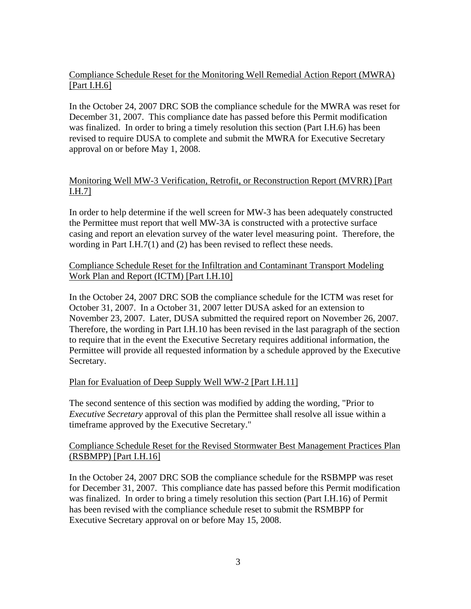# Compliance Schedule Reset for the Monitoring Well Remedial Action Report (MWRA) [Part I.H.6]

In the October 24, 2007 DRC SOB the compliance schedule for the MWRA was reset for December 31, 2007. This compliance date has passed before this Permit modification was finalized. In order to bring a timely resolution this section (Part I.H.6) has been revised to require DUSA to complete and submit the MWRA for Executive Secretary approval on or before May 1, 2008.

### Monitoring Well MW-3 Verification, Retrofit, or Reconstruction Report (MVRR) [Part I.H.7]

In order to help determine if the well screen for MW-3 has been adequately constructed the Permittee must report that well MW-3A is constructed with a protective surface casing and report an elevation survey of the water level measuring point. Therefore, the wording in Part I.H.7(1) and (2) has been revised to reflect these needs.

### Compliance Schedule Reset for the Infiltration and Contaminant Transport Modeling Work Plan and Report (ICTM) [Part I.H.10]

In the October 24, 2007 DRC SOB the compliance schedule for the ICTM was reset for October 31, 2007. In a October 31, 2007 letter DUSA asked for an extension to November 23, 2007. Later, DUSA submitted the required report on November 26, 2007. Therefore, the wording in Part I.H.10 has been revised in the last paragraph of the section to require that in the event the Executive Secretary requires additional information, the Permittee will provide all requested information by a schedule approved by the Executive Secretary.

#### Plan for Evaluation of Deep Supply Well WW-2 [Part I.H.11]

The second sentence of this section was modified by adding the wording, "Prior to *Executive Secretary* approval of this plan the Permittee shall resolve all issue within a timeframe approved by the Executive Secretary."

### Compliance Schedule Reset for the Revised Stormwater Best Management Practices Plan (RSBMPP) [Part I.H.16]

In the October 24, 2007 DRC SOB the compliance schedule for the RSBMPP was reset for December 31, 2007. This compliance date has passed before this Permit modification was finalized. In order to bring a timely resolution this section (Part I.H.16) of Permit has been revised with the compliance schedule reset to submit the RSMBPP for Executive Secretary approval on or before May 15, 2008.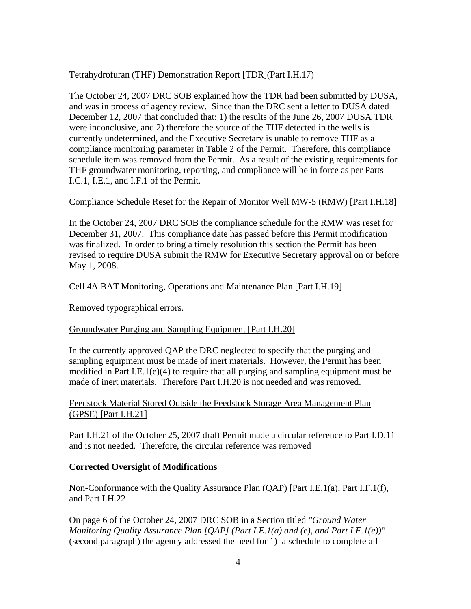# Tetrahydrofuran (THF) Demonstration Report [TDR](Part I.H.17)

The October 24, 2007 DRC SOB explained how the TDR had been submitted by DUSA, and was in process of agency review. Since than the DRC sent a letter to DUSA dated December 12, 2007 that concluded that: 1) the results of the June 26, 2007 DUSA TDR were inconclusive, and 2) therefore the source of the THF detected in the wells is currently undetermined, and the Executive Secretary is unable to remove THF as a compliance monitoring parameter in Table 2 of the Permit. Therefore, this compliance schedule item was removed from the Permit. As a result of the existing requirements for THF groundwater monitoring, reporting, and compliance will be in force as per Parts I.C.1, I.E.1, and I.F.1 of the Permit.

# Compliance Schedule Reset for the Repair of Monitor Well MW-5 (RMW) [Part I.H.18]

In the October 24, 2007 DRC SOB the compliance schedule for the RMW was reset for December 31, 2007. This compliance date has passed before this Permit modification was finalized. In order to bring a timely resolution this section the Permit has been revised to require DUSA submit the RMW for Executive Secretary approval on or before May 1, 2008.

### Cell 4A BAT Monitoring, Operations and Maintenance Plan [Part I.H.19]

Removed typographical errors.

# Groundwater Purging and Sampling Equipment [Part I.H.20]

In the currently approved QAP the DRC neglected to specify that the purging and sampling equipment must be made of inert materials. However, the Permit has been modified in Part I.E.1(e)(4) to require that all purging and sampling equipment must be made of inert materials. Therefore Part I.H.20 is not needed and was removed.

# Feedstock Material Stored Outside the Feedstock Storage Area Management Plan (GPSE) [Part I.H.21]

Part I.H.21 of the October 25, 2007 draft Permit made a circular reference to Part I.D.11 and is not needed. Therefore, the circular reference was removed

# **Corrected Oversight of Modifications**

# Non-Conformance with the Quality Assurance Plan (QAP) [Part I.E.1(a), Part I.F.1(f), and Part I.H.22

On page 6 of the October 24, 2007 DRC SOB in a Section titled *"Ground Water Monitoring Quality Assurance Plan [QAP] (Part I.E.1(a) and (e), and Part I.F.1(e))"* (second paragraph) the agency addressed the need for 1) a schedule to complete all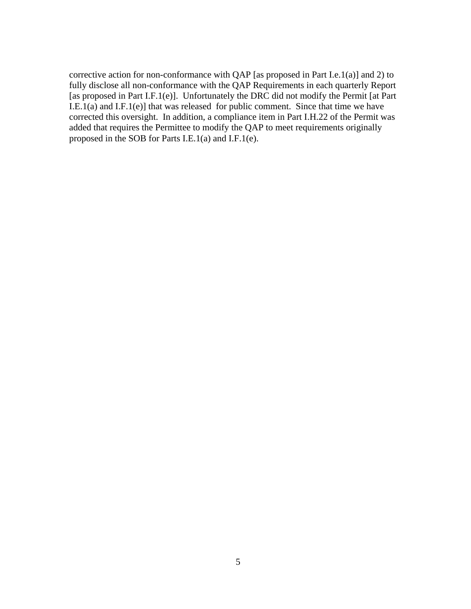corrective action for non-conformance with QAP [as proposed in Part I.e.1(a)] and 2) to fully disclose all non-conformance with the QAP Requirements in each quarterly Report [as proposed in Part I.F.1(e)]. Unfortunately the DRC did not modify the Permit [at Part I.E.1(a) and I.F.1(e)] that was released for public comment. Since that time we have corrected this oversight. In addition, a compliance item in Part I.H.22 of the Permit was added that requires the Permittee to modify the QAP to meet requirements originally proposed in the SOB for Parts I.E.1(a) and I.F.1(e).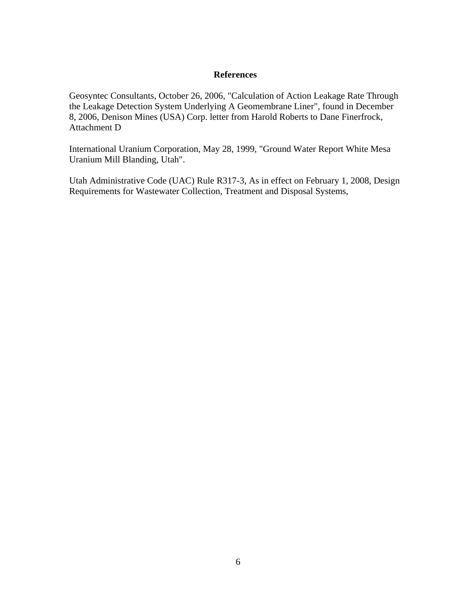#### **References**

Geosyntec Consultants, October 26, 2006, "Calculation of Action Leakage Rate Through the Leakage Detection System Underlying A Geomembrane Liner", found in December 8, 2006, Denison Mines (USA) Corp. letter from Harold Roberts to Dane Finerfrock, Attachment D

International Uranium Corporation, May 28, 1999, "Ground Water Report White Mesa Uranium Mill Blanding, Utah".

Utah Administrative Code (UAC) Rule R317-3, As in effect on February 1, 2008, Design Requirements for Wastewater Collection, Treatment and Disposal Systems,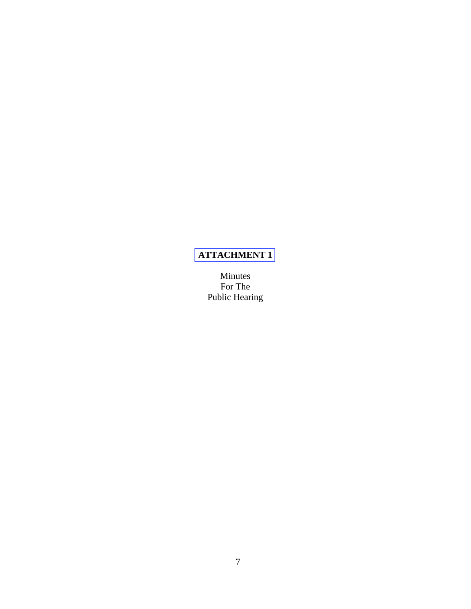# **[ATTACHMENT 1](http://www.radiationcontrol.utah.gov/Uranium_Mills/IUC/cell4a/pubhearing_Nov272008.pdf)**

Minutes For The Public Hearing